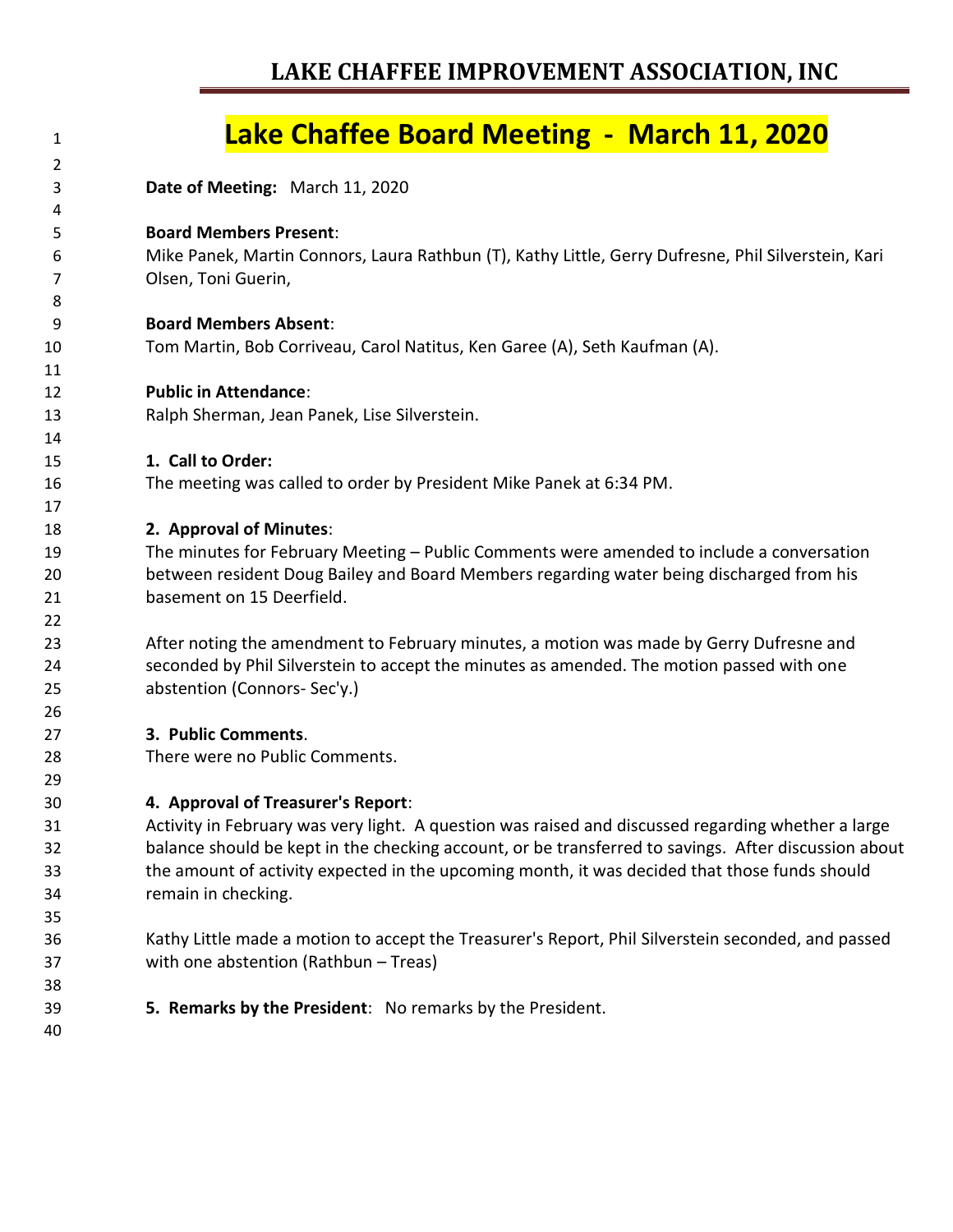### **LAKE CHAFFEE IMPROVEMENT ASSOCIATION, INC**

### **Lake Chaffee Board Meeting - March 11, 2020 Date of Meeting:** March 11, 2020 **Board Members Present**: Mike Panek, Martin Connors, Laura Rathbun (T), Kathy Little, Gerry Dufresne, Phil Silverstein, Kari Olsen, Toni Guerin, **Board Members Absent**: Tom Martin, Bob Corriveau, Carol Natitus, Ken Garee (A), Seth Kaufman (A). **Public in Attendance**: Ralph Sherman, Jean Panek, Lise Silverstein. **1. Call to Order:** The meeting was called to order by President Mike Panek at 6:34 PM. **2. Approval of Minutes**: The minutes for February Meeting – Public Comments were amended to include a conversation between resident Doug Bailey and Board Members regarding water being discharged from his basement on 15 Deerfield. After noting the amendment to February minutes, a motion was made by Gerry Dufresne and seconded by Phil Silverstein to accept the minutes as amended. The motion passed with one abstention (Connors- Sec'y.) **3. Public Comments**. There were no Public Comments. **4. Approval of Treasurer's Report**: Activity in February was very light. A question was raised and discussed regarding whether a large balance should be kept in the checking account, or be transferred to savings. After discussion about the amount of activity expected in the upcoming month, it was decided that those funds should remain in checking. Kathy Little made a motion to accept the Treasurer's Report, Phil Silverstein seconded, and passed with one abstention (Rathbun – Treas) **5. Remarks by the President**: No remarks by the President.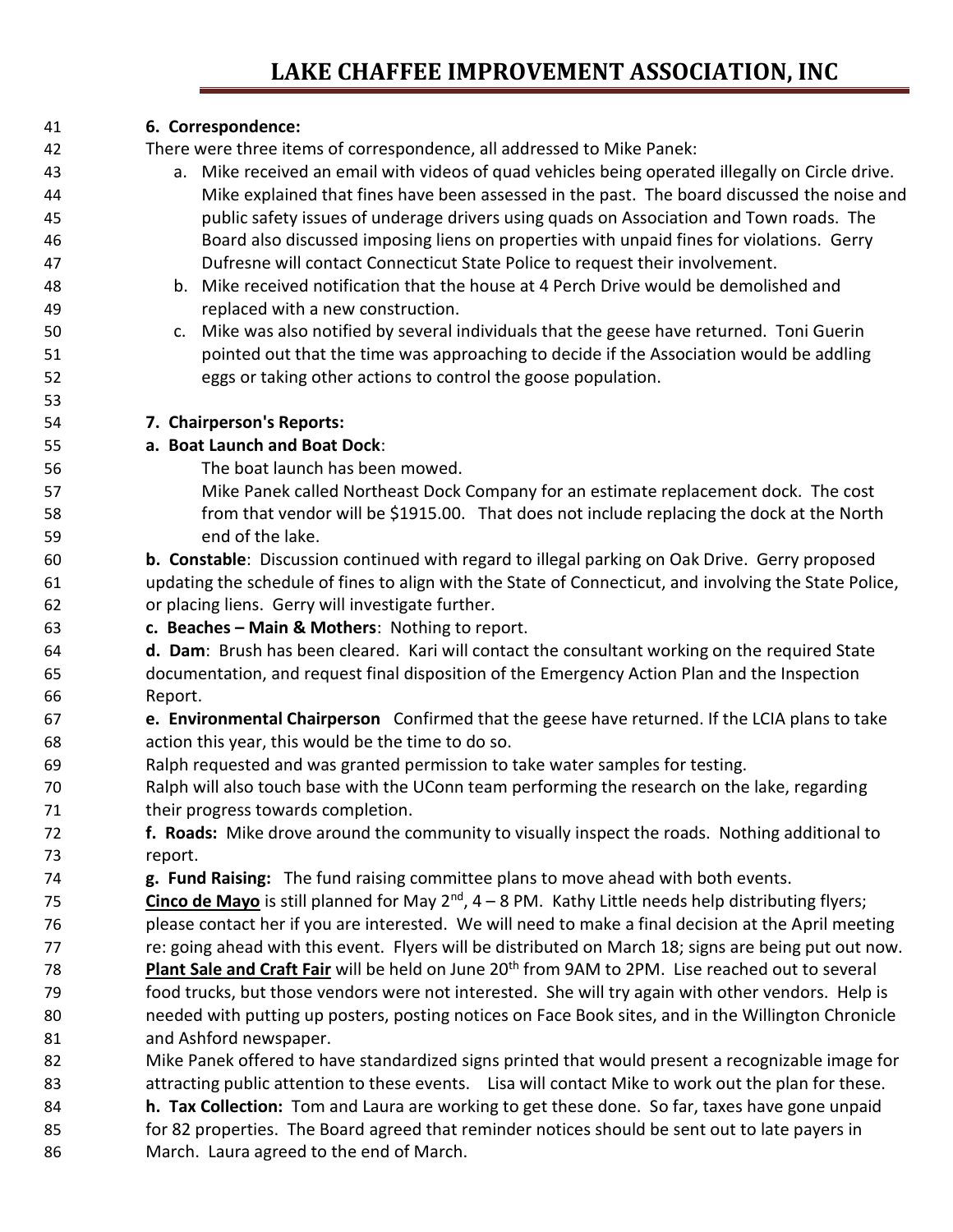## **LAKE CHAFFEE IMPROVEMENT ASSOCIATION, INC**

#### **6. Correspondence:**

There were three items of correspondence, all addressed to Mike Panek:

- a. Mike received an email with videos of quad vehicles being operated illegally on Circle drive. Mike explained that fines have been assessed in the past. The board discussed the noise and public safety issues of underage drivers using quads on Association and Town roads. The Board also discussed imposing liens on properties with unpaid fines for violations. Gerry Dufresne will contact Connecticut State Police to request their involvement.
- b. Mike received notification that the house at 4 Perch Drive would be demolished and replaced with a new construction.
- c. Mike was also notified by several individuals that the geese have returned. Toni Guerin pointed out that the time was approaching to decide if the Association would be addling eggs or taking other actions to control the goose population.

#### **7. Chairperson's Reports:**

#### **a. Boat Launch and Boat Dock**:

- The boat launch has been mowed.
- Mike Panek called Northeast Dock Company for an estimate replacement dock. The cost from that vendor will be \$1915.00. That does not include replacing the dock at the North end of the lake.
- **b. Constable**: Discussion continued with regard to illegal parking on Oak Drive. Gerry proposed updating the schedule of fines to align with the State of Connecticut, and involving the State Police, or placing liens. Gerry will investigate further.
- **c. Beaches – Main & Mothers**: Nothing to report.
- **d. Dam**: Brush has been cleared. Kari will contact the consultant working on the required State documentation, and request final disposition of the Emergency Action Plan and the Inspection Report.
- **e. Environmental Chairperson** Confirmed that the geese have returned. If the LCIA plans to take action this year, this would be the time to do so.
- Ralph requested and was granted permission to take water samples for testing.
- Ralph will also touch base with the UConn team performing the research on the lake, regarding 71 their progress towards completion.
- **f. Roads:** Mike drove around the community to visually inspect the roads. Nothing additional to report.
- **g. Fund Raising:** The fund raising committee plans to move ahead with both events.
- 75 **Cinco de Mayo** is still planned for May 2<sup>nd</sup>, 4 8 PM. Kathy Little needs help distributing flyers; please contact her if you are interested. We will need to make a final decision at the April meeting re: going ahead with this event. Flyers will be distributed on March 18; signs are being put out now. 78 **Plant Sale and Craft Fair** will be held on June 20<sup>th</sup> from 9AM to 2PM. Lise reached out to several food trucks, but those vendors were not interested. She will try again with other vendors. Help is needed with putting up posters, posting notices on Face Book sites, and in the Willington Chronicle and Ashford newspaper.
- Mike Panek offered to have standardized signs printed that would present a recognizable image for 83 attracting public attention to these events. Lisa will contact Mike to work out the plan for these.
- **h. Tax Collection:** Tom and Laura are working to get these done. So far, taxes have gone unpaid for 82 properties. The Board agreed that reminder notices should be sent out to late payers in
- March. Laura agreed to the end of March.